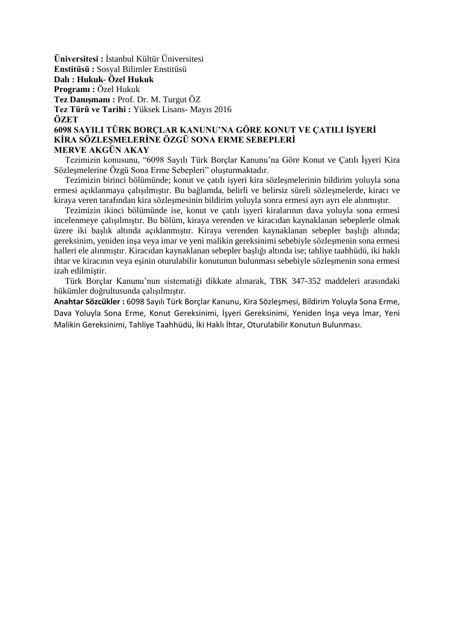**Üniversitesi :** İstanbul Kültür Üniversitesi **Enstitüsü :** Sosyal Bilimler Enstitüsü **Dalı : Hukuk- Özel Hukuk Programı :** Özel Hukuk **Tez Danışmanı :** Prof. Dr. M. Turgut ÖZ **Tez Türü ve Tarihi :** Yüksek Lisans- Mayıs 2016 **ÖZET 6098 SAYILI TÜRK BORÇLAR KANUNU'NA GÖRE KONUT VE ÇATILI İŞYERİ**

## **KİRA SÖZLEŞMELERİNE ÖZGÜ SONA ERME SEBEPLERİ MERVE AKGÜN AKAY**

 Tezimizin konusunu, "6098 Sayılı Türk Borçlar Kanunu'na Göre Konut ve Çatılı İşyeri Kira Sözleşmelerine Özgü Sona Erme Sebepleri" oluşturmaktadır.

 Tezimizin birinci bölümünde; konut ve çatılı işyeri kira sözleşmelerinin bildirim yoluyla sona ermesi açıklanmaya çalışılmıştır. Bu bağlamda, belirli ve belirsiz süreli sözleşmelerde, kiracı ve kiraya veren tarafından kira sözleşmesinin bildirim yoluyla sonra ermesi ayrı ayrı ele alınmıştır.

 Tezimizin ikinci bölümünde ise, konut ve çatılı işyeri kiralarının dava yoluyla sona ermesi incelenmeye çalışılmıştır. Bu bölüm, kiraya verenden ve kiracıdan kaynaklanan sebeplerle olmak üzere iki başlık altında açıklanmıştır. Kiraya verenden kaynaklanan sebepler başlığı altında; gereksinim, yeniden inşa veya imar ve yeni malikin gereksinimi sebebiyle sözleşmenin sona ermesi halleri ele alınmıştır. Kiracıdan kaynaklanan sebepler başlığı altında ise; tahliye taahhüdü, iki haklı ihtar ve kiracının veya eşinin oturulabilir konutunun bulunması sebebiyle sözleşmenin sona ermesi izah edilmiştir.

 Türk Borçlar Kanunu'nun sistematiği dikkate alınarak, TBK 347-352 maddeleri arasındaki hükümler doğrultusunda çalışılmıştır.

**Anahtar Sözcükler :** 6098 Sayılı Türk Borçlar Kanunu, Kira Sözleşmesi, Bildirim Yoluyla Sona Erme, Dava Yoluyla Sona Erme, Konut Gereksinimi, İşyeri Gereksinimi, Yeniden İnşa veya İmar, Yeni Malikin Gereksinimi, Tahliye Taahhüdü, İki Haklı İhtar, Oturulabilir Konutun Bulunması.